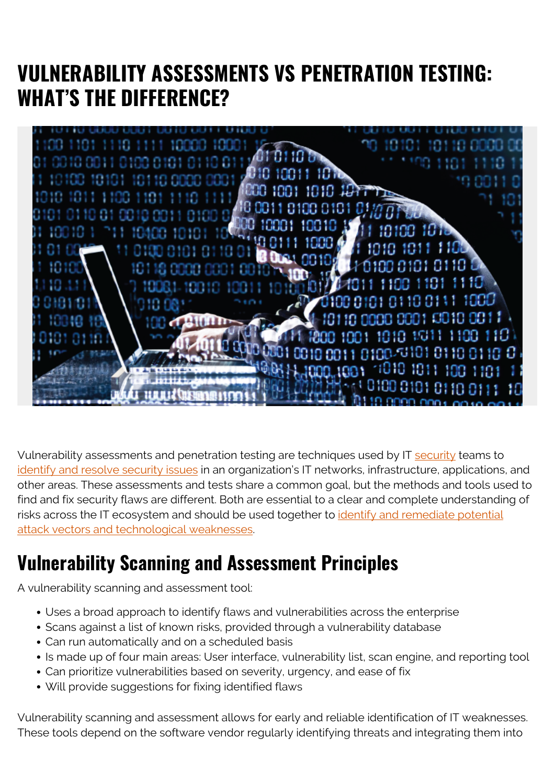## **VULNERABILITY ASSESSMENTS VS PENETRATION TESTING: WHAT'S THE DIFFERENCE?**



Vulnerability assessments and penetration testing are techniques used by IT [security](https://blogs.bmc.com/blogs/security-vulnerability-vs-threat-vs-risk-whats-difference/) teams to [identify and resolve security issues](https://blogs.bmc.com/blogs/security-vulnerability-vs-threat-vs-risk-whats-difference/) in an organization's IT networks, infrastructure, applications, and other areas. These assessments and tests share a common goal, but the methods and tools used to find and fix security flaws are different. Both are essential to a clear and complete understanding of risks across the IT ecosystem and should be used together to [identify and remediate potential](https://blogs.bmc.com/blogs/what-is-threat-remediation-threat-remediation-explained/) [attack vectors and technological weaknesses](https://blogs.bmc.com/blogs/what-is-threat-remediation-threat-remediation-explained/).

#### **Vulnerability Scanning and Assessment Principles**

A vulnerability scanning and assessment tool:

- Uses a broad approach to identify flaws and vulnerabilities across the enterprise
- Scans against a list of known risks, provided through a vulnerability database
- Can run automatically and on a scheduled basis
- Is made up of four main areas: User interface, vulnerability list, scan engine, and reporting tool
- Can prioritize vulnerabilities based on severity, urgency, and ease of fix
- Will provide suggestions for fixing identified flaws

Vulnerability scanning and assessment allows for early and reliable identification of IT weaknesses. These tools depend on the software vendor regularly identifying threats and integrating them into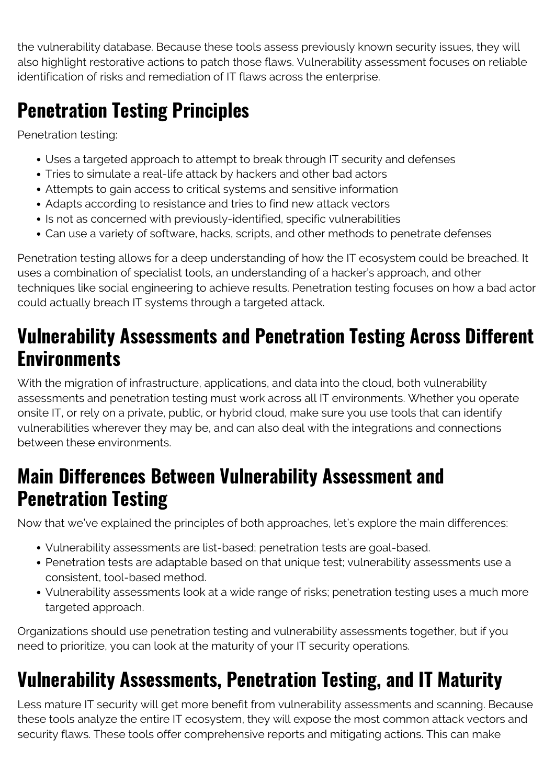the vulnerability database. Because these tools assess previously known security issues, they will also highlight restorative actions to patch those flaws. Vulnerability assessment focuses on reliable identification of risks and remediation of IT flaws across the enterprise.

# **Penetration Testing Principles**

Penetration testing:

- Uses a targeted approach to attempt to break through IT security and defenses
- Tries to simulate a real-life attack by hackers and other bad actors
- Attempts to gain access to critical systems and sensitive information
- Adapts according to resistance and tries to find new attack vectors
- Is not as concerned with previously-identified, specific vulnerabilities
- Can use a variety of software, hacks, scripts, and other methods to penetrate defenses

Penetration testing allows for a deep understanding of how the IT ecosystem could be breached. It uses a combination of specialist tools, an understanding of a hacker's approach, and other techniques like social engineering to achieve results. Penetration testing focuses on how a bad actor could actually breach IT systems through a targeted attack.

## **Vulnerability Assessments and Penetration Testing Across Different Environments**

With the migration of infrastructure, applications, and data into the cloud, both vulnerability assessments and penetration testing must work across all IT environments. Whether you operate onsite IT, or rely on a private, public, or hybrid cloud, make sure you use tools that can identify vulnerabilities wherever they may be, and can also deal with the integrations and connections between these environments.

## **Main Differences Between Vulnerability Assessment and Penetration Testing**

Now that we've explained the principles of both approaches, let's explore the main differences:

- Vulnerability assessments are list-based; penetration tests are goal-based.
- Penetration tests are adaptable based on that unique test; vulnerability assessments use a consistent, tool-based method.
- Vulnerability assessments look at a wide range of risks; penetration testing uses a much more targeted approach.

Organizations should use penetration testing and vulnerability assessments together, but if you need to prioritize, you can look at the maturity of your IT security operations.

# **Vulnerability Assessments, Penetration Testing, and IT Maturity**

Less mature IT security will get more benefit from vulnerability assessments and scanning. Because these tools analyze the entire IT ecosystem, they will expose the most common attack vectors and security flaws. These tools offer comprehensive reports and mitigating actions. This can make